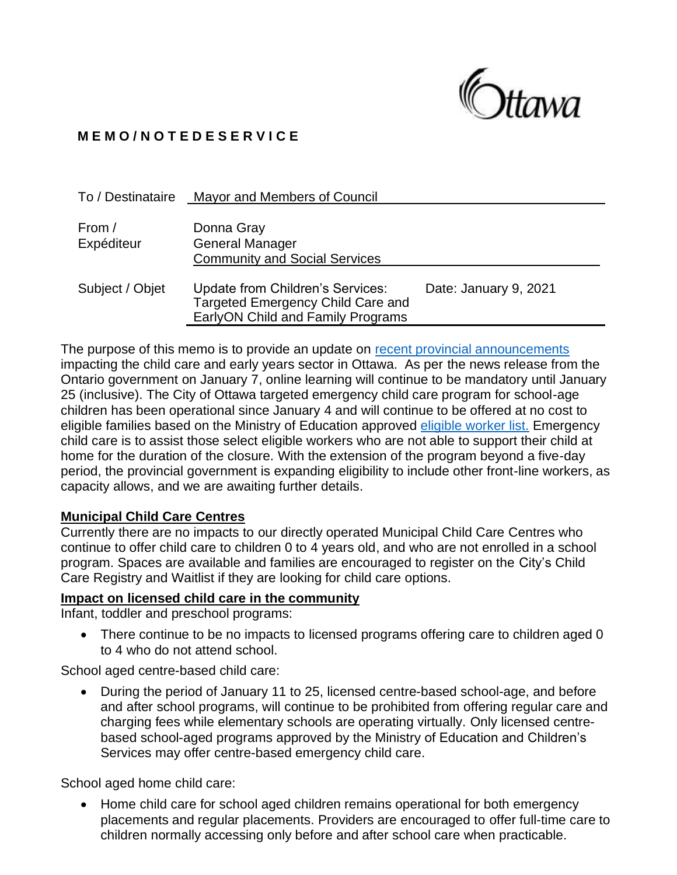

# **M E M O / N O T E D E S E R V I C E**

| To / Destinataire    | Mayor and Members of Council                                                                                      |                       |
|----------------------|-------------------------------------------------------------------------------------------------------------------|-----------------------|
| From /<br>Expéditeur | Donna Gray<br><b>General Manager</b><br><b>Community and Social Services</b>                                      |                       |
| Subject / Objet      | Update from Children's Services:<br><b>Targeted Emergency Child Care and</b><br>EarlyON Child and Family Programs | Date: January 9, 2021 |

The purpose of this memo is to provide an update on [recent provincial announcements](https://news.ontario.ca/en/release/59890/ontario-extends-teacher-led-online-learning-until-january-25-to-keep-students-and-staff-safe-in-sout) impacting the child care and early years sector in Ottawa. As per the news release from the Ontario government on January 7, online learning will continue to be mandatory until January 25 (inclusive). The City of Ottawa targeted emergency child care program for school-age children has been operational since January 4 and will continue to be offered at no cost to eligible families based on the Ministry of Education approved [eligible worker list.](https://www.ontario.ca/page/covid-19-provincewide-shutdown#B) Emergency child care is to assist those select eligible workers who are not able to support their child at home for the duration of the closure. With the extension of the program beyond a five-day period, the provincial government is expanding eligibility to include other front-line workers, as capacity allows, and we are awaiting further details.

### **Municipal Child Care Centres**

Currently there are no impacts to our directly operated Municipal Child Care Centres who continue to offer child care to children 0 to 4 years old, and who are not enrolled in a school program. Spaces are available and families are encouraged to register on the City's Child Care Registry and Waitlist if they are looking for child care options.

### **Impact on licensed child care in the community**

Infant, toddler and preschool programs:

• There continue to be no impacts to licensed programs offering care to children aged 0 to 4 who do not attend school.

School aged centre-based child care:

• During the period of January 11 to 25, licensed centre-based school-age, and before and after school programs, will continue to be prohibited from offering regular care and charging fees while elementary schools are operating virtually. Only licensed centrebased school-aged programs approved by the Ministry of Education and Children's Services may offer centre-based emergency child care.

School aged home child care:

• Home child care for school aged children remains operational for both emergency placements and regular placements. Providers are encouraged to offer full-time care to children normally accessing only before and after school care when practicable.